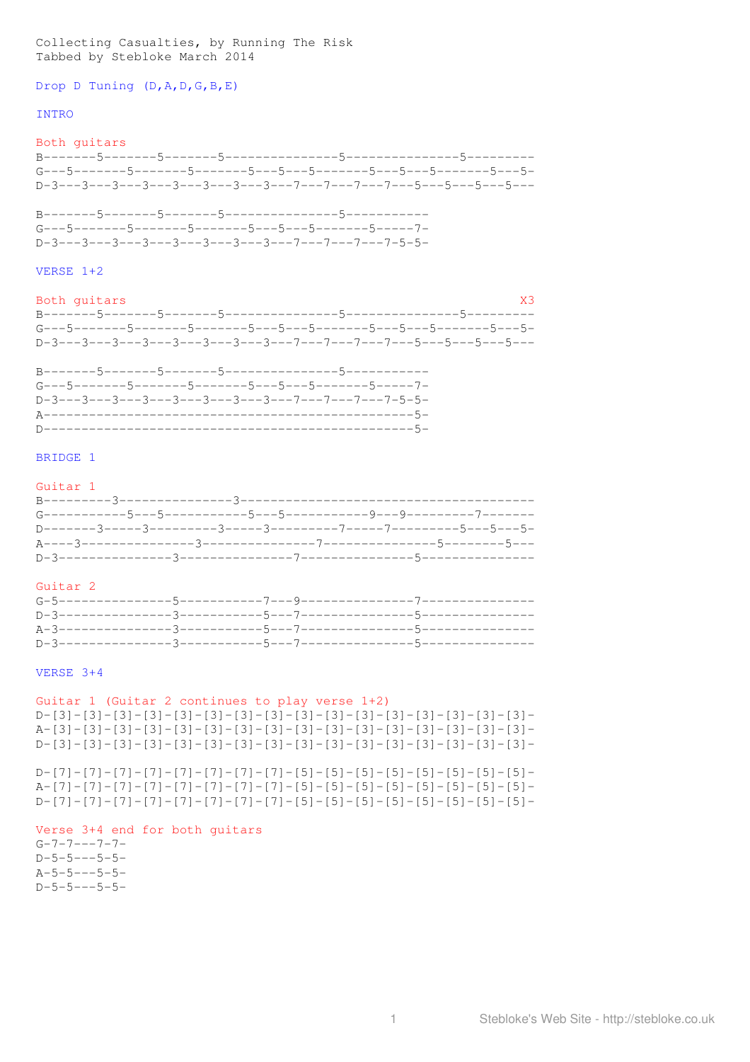Collecting Casualties, by Running The Risk Tabbed by Stebloke March 2014

Drop D Tuning (D, A, D, G, B, E)

### **TNTRO**

Both guitars 

 $G---5------5------5------5---5---5---5---5-----5-----5---1 D-3---3---3---3---3---3---3---3---7---7---7---7---7--5-5-$ 

### VERSE  $1+2$

Both quitars  $X<sup>3</sup>$ 

 $G---5-----5------5------5---5---5---5---5-----5-----5---1 D-3---3---3---3---3---3---3---3---7---7---7---7---7---7-5-5-5-$ 

## BRIDGE 1

## Guitar 1

## Guitar<sub>2</sub>

### VERSE  $3+4$

## Guitar 1 (Guitar 2 continues to play verse 1+2)

 $D - [7] - [7] - [7] - [7] - [7] - [7] - [7] - [7] - [5] - [5] - [5] - [5] - [5] - [5] - [5] - [5] - [5]$ 

## Verse 3+4 end for both guitars

 $G - 7 - 7 - - -7 - 7 D-5-5---5-5-5 A - 5 - 5 - - - 5 - 5 D-5-5---5-5-5-$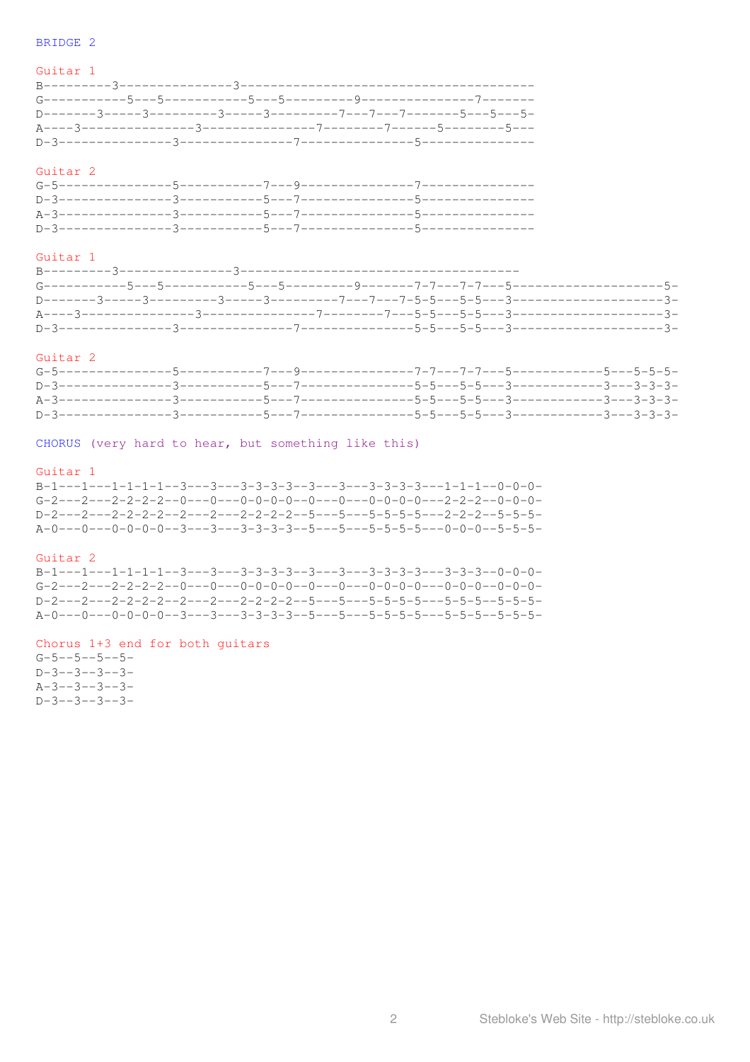## BRIDGE 2

## Guitar 1

## Guitar<sub>2</sub>

# Guitar 1

# Guitar 2

CHORUS (very hard to hear, but something like this)

## Guitar 1

| $B-1---1---1-1-1---3---3---3-3-3-3---3---3----3---3-3-3-3---1-1-1---0-0-0-$  |  |  |  |  |  |  |  |
|------------------------------------------------------------------------------|--|--|--|--|--|--|--|
| $G-2---2---2-2-2-2--0---0---0-0-0-0-0---0---0---0-0-0-0-0---2-2-2-2--0-0-0-$ |  |  |  |  |  |  |  |
| D-2---2---2-2-2-2-2---2---2-2-2-2-2-5---5---5-5-5-5---2-2-2--5-5-5-          |  |  |  |  |  |  |  |
|                                                                              |  |  |  |  |  |  |  |

### Guitar 2

 $B-1---1---1-1-1-1---3---3---3-3-3-3---3---3---3-3-3-3-3---3-3-3---0-0-0-$ 

# Chorus 1+3 end for both guitars

 $G - 5 - -5 - -5 - -5 D-3--3--3--3- A-3--3--3--3- D-3--3--3--3--3-$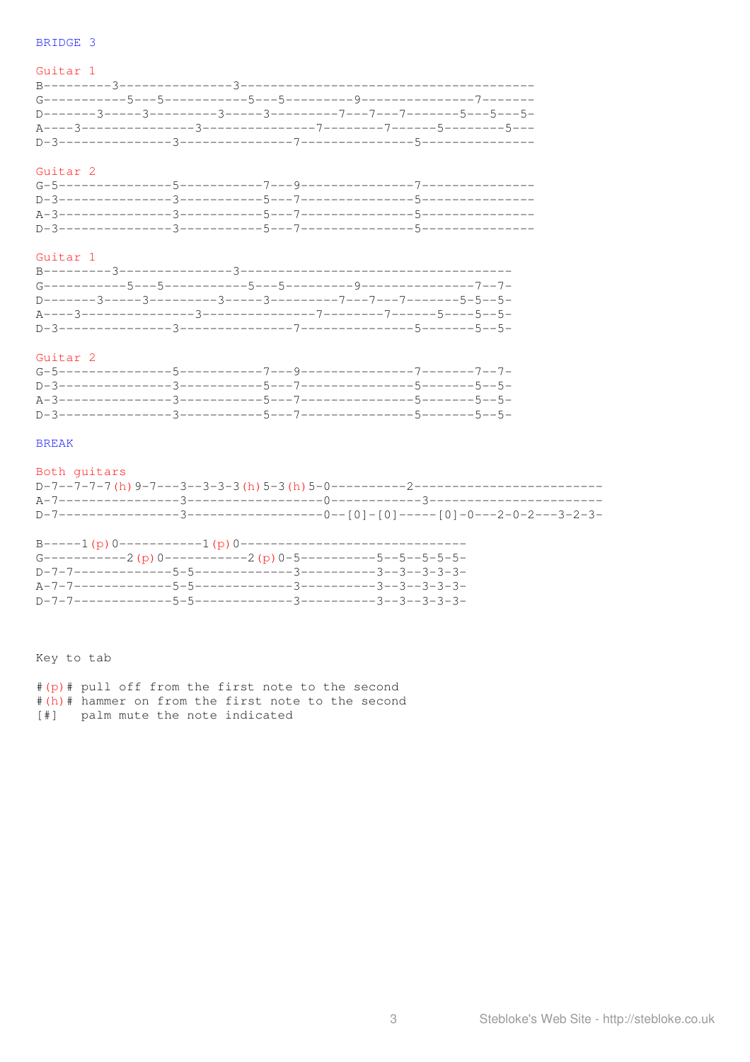# BRIDGE 3

# Guitar 1

# Guitar 2

# Guitar 1

# Guitar 2

# **BREAK**

| Both quitars |  |  |
|--------------|--|--|
|              |  |  |
|              |  |  |
|              |  |  |

| B-----1 (p) 0-----------1 (p) 0-------------------------------- |  |  |
|-----------------------------------------------------------------|--|--|
| G-----------2 (p) 0-----------2 (p) 0-5----------5--5--5-5-5-   |  |  |
|                                                                 |  |  |
|                                                                 |  |  |
|                                                                 |  |  |

Key to tab

|  |  |                                  |  | #(p)# pull off from the first note to the second  |
|--|--|----------------------------------|--|---------------------------------------------------|
|  |  |                                  |  | #(h)# hammer on from the first note to the second |
|  |  | [#] palm mute the note indicated |  |                                                   |